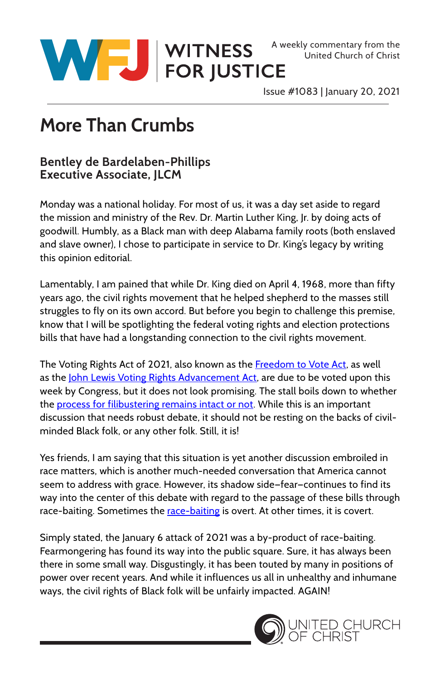

United Church of Christ

Issue #1083 | January 20, 2021

## **More Than Crumbs**

## **Bentley de Bardelaben-Phillips Executive Associate, JLCM**

Monday was a national holiday. For most of us, it was a day set aside to regard the mission and ministry of the Rev. Dr. Martin Luther King, Jr. by doing acts of goodwill. Humbly, as a Black man with deep Alabama family roots (both enslaved and slave owner), I chose to participate in service to Dr. King's legacy by writing this opinion editorial.

Lamentably, I am pained that while Dr. King died on April 4, 1968, more than fifty years ago, the civil rights movement that he helped shepherd to the masses still struggles to fly on its own accord. But before you begin to challenge this premise, know that I will be spotlighting the federal voting rights and election protections bills that have had a longstanding connection to the civil rights movement.

The Voting Rights Act of 2021, also known as the [Freedom to Vote Act,](https://www.congress.gov/bill/117th-congress/senate-bill/2747/text) as well as the [John Lewis Voting Rights Advancement Act](https://www.congress.gov/bill/117th-congress/house-bill/4?s=1&r=482), are due to be voted upon this week by Congress, but it does not look promising. The stall boils down to whether the [process for filibustering remains intact or not](https://s3.documentcloud.org/documents/21172649/dear-colleague-1322.pdf). While this is an important discussion that needs robust debate, it should not be resting on the backs of civilminded Black folk, or any other folk. Still, it is!

Yes friends, I am saying that this situation is yet another discussion embroiled in race matters, which is another much-needed conversation that America cannot seem to address with grace. However, its shadow side—fear—continues to find its way into the center of this debate with regard to the passage of these bills through [race-baiting](https://www.dictionary.com/e/politics/race-baiting/#:~:text=Race-baiting%20is%20the%20incitement%20of%20racial%20hatred%2C%20often,has%20been%20in%20use%20since%20the%20early%201900s.). Sometimes the race-baiting is overt. At other times, it is covert.

Simply stated, the January 6 attack of 2021 was a by-product of race-baiting. Fearmongering has found its way into the public square. Sure, it has always been there in some small way. Disgustingly, it has been touted by many in positions of power over recent years. And while it influences us all in unhealthy and inhumane ways, the civil rights of Black folk will be unfairly impacted. AGAIN!